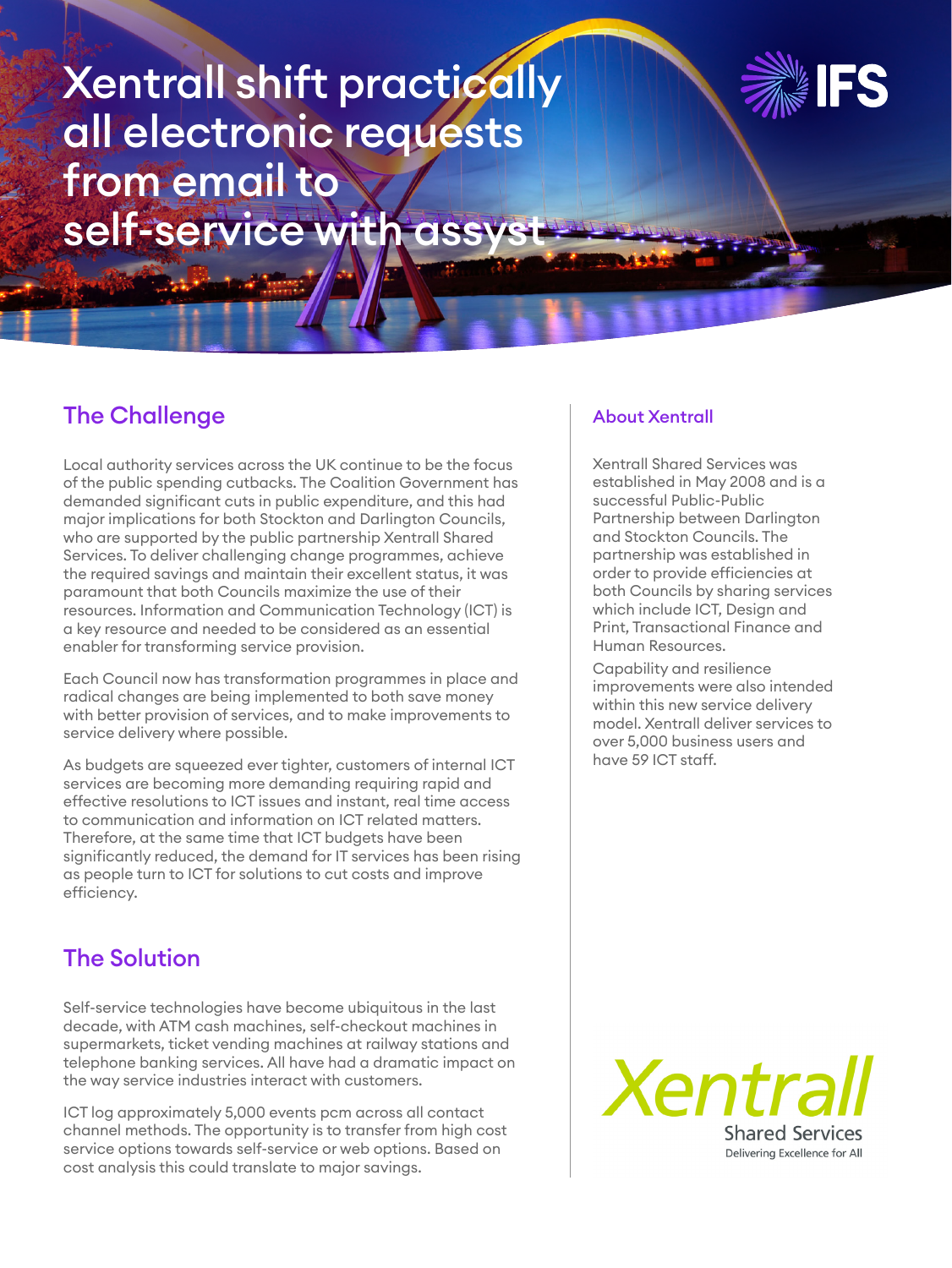# Xentrall shift practically all electronic requests from email to self-service with assyst



## The Challenge

Local authority services across the UK continue to be the focus of the public spending cutbacks. The Coalition Government has demanded significant cuts in public expenditure, and this had major implications for both Stockton and Darlington Councils, who are supported by the public partnership Xentrall Shared Services. To deliver challenging change programmes, achieve the required savings and maintain their excellent status, it was paramount that both Councils maximize the use of their resources. Information and Communication Technology (ICT) is a key resource and needed to be considered as an essential enabler for transforming service provision.

Each Council now has transformation programmes in place and radical changes are being implemented to both save money with better provision of services, and to make improvements to service delivery where possible.

As budgets are squeezed ever tighter, customers of internal ICT services are becoming more demanding requiring rapid and effective resolutions to ICT issues and instant, real time access to communication and information on ICT related matters. Therefore, at the same time that ICT budgets have been significantly reduced, the demand for IT services has been rising as people turn to ICT for solutions to cut costs and improve efficiency.

## The Solution

Self-service technologies have become ubiquitous in the last decade, with ATM cash machines, self-checkout machines in supermarkets, ticket vending machines at railway stations and telephone banking services. All have had a dramatic impact on the way service industries interact with customers.

ICT log approximately 5,000 events pcm across all contact channel methods. The opportunity is to transfer from high cost service options towards self-service or web options. Based on cost analysis this could translate to major savings.

#### About Xentrall

Xentrall Shared Services was established in May 2008 and is a successful Public-Public Partnership between Darlington and Stockton Councils. The partnership was established in order to provide efficiencies at both Councils by sharing services which include ICT, Design and Print, Transactional Finance and Human Resources.

Capability and resilience improvements were also intended within this new service delivery model. Xentrall deliver services to over 5,000 business users and have 59 ICT staff.